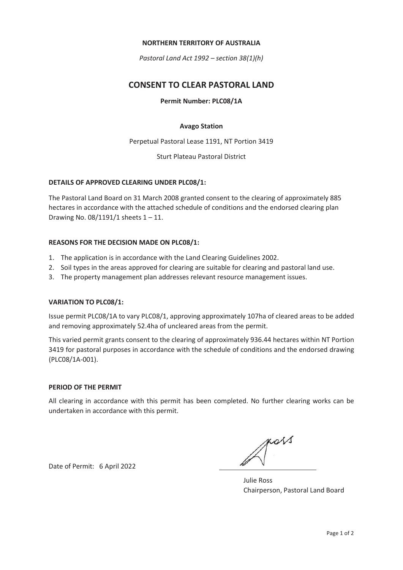#### **NORTHERN TERRITORY OF AUSTRALIA**

*Pastoral Land Act 1992 – section 38(1)(h)* 

# **CONSENT TO CLEAR PASTORAL LAND**

**Permit Number: PLC08/1A** 

## **Avago Station**

Perpetual Pastoral Lease 1191, NT Portion 3419

Sturt Plateau Pastoral District

#### **DETAILS OF APPROVED CLEARING UNDER PLC08/1:**

The Pastoral Land Board on 31 March 2008 granted consent to the clearing of approximately 885 hectares in accordance with the attached schedule of conditions and the endorsed clearing plan Drawing No.  $08/1191/1$  sheets  $1 - 11$ .

#### **REASONS FOR THE DECISION MADE ON PLC08/1:**

- 1. The application is in accordance with the Land Clearing Guidelines 2002.
- 2. Soil types in the areas approved for clearing are suitable for clearing and pastoral land use.
- 3. The property management plan addresses relevant resource management issues.

#### **VARIATION TO PLC08/1:**

Issue permit PLC08/1A to vary PLC08/1, approving approximately 107ha of cleared areas to be added and removing approximately 52.4ha of uncleared areas from the permit.

This varied permit grants consent to the clearing of approximately 936.44 hectares within NT Portion 3419 for pastoral purposes in accordance with the schedule of conditions and the endorsed drawing (PLC08/1A-001).

#### **PERIOD OF THE PERMIT**

All clearing in accordance with this permit has been completed. No further clearing works can be undertaken in accordance with this permit.

Date of Permit: 6 April 2022

Julie Ross Chairperson, Pastoral Land Board